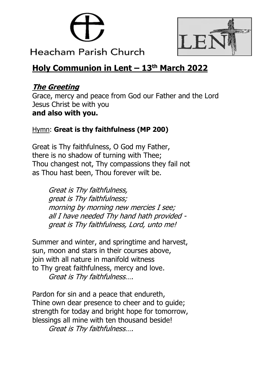



# **Holy Communion in Lent – 13th March 2022**

# **The Greeting**

Grace, mercy and peace from God our Father and the Lord Jesus Christ be with you **and also with you.**

### Hymn: **Great is thy faithfulness (MP 200)**

Great is Thy faithfulness, O God my Father, there is no shadow of turning with Thee; Thou changest not, Thy compassions they fail not as Thou hast been, Thou forever wilt be.

> Great is Thy faithfulness, great is Thy faithfulness; morning by morning new mercies I see; all I have needed Thy hand hath provided great is Thy faithfulness, Lord, unto me!

Summer and winter, and springtime and harvest, sun, moon and stars in their courses above, join with all nature in manifold witness to Thy great faithfulness, mercy and love. Great is Thy faithfulness….

Pardon for sin and a peace that endureth, Thine own dear presence to cheer and to guide; strength for today and bright hope for tomorrow, blessings all mine with ten thousand beside!

Great is Thy faithfulness….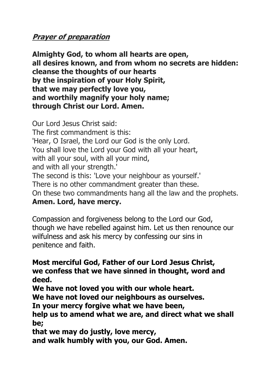### **Prayer of preparation**

**Almighty God, to whom all hearts are open, all desires known, and from whom no secrets are hidden: cleanse the thoughts of our hearts by the inspiration of your Holy Spirit, that we may perfectly love you, and worthily magnify your holy name; through Christ our Lord. Amen.**

Our Lord Jesus Christ said: The first commandment is this: 'Hear, O Israel, the Lord our God is the only Lord. You shall love the Lord your God with all your heart, with all your soul, with all your mind, and with all your strength.' The second is this: 'Love your neighbour as yourself.' There is no other commandment greater than these. On these two commandments hang all the law and the prophets. **Amen. Lord, have mercy.**

Compassion and forgiveness belong to the Lord our God, though we have rebelled against him. Let us then renounce our wilfulness and ask his mercy by confessing our sins in penitence and faith.

#### **Most merciful God, Father of our Lord Jesus Christ, we confess that we have sinned in thought, word and deed.**

**We have not loved you with our whole heart.**

**We have not loved our neighbours as ourselves.**

**In your mercy forgive what we have been,**

**help us to amend what we are, and direct what we shall be;**

**that we may do justly, love mercy,**

**and walk humbly with you, our God. Amen.**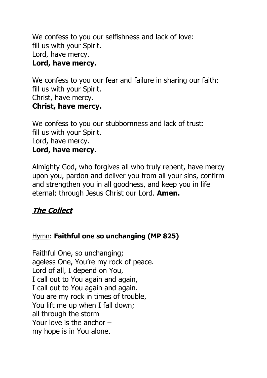We confess to you our selfishness and lack of love: fill us with your Spirit. Lord, have mercy. **Lord, have mercy.**

We confess to you our fear and failure in sharing our faith: fill us with your Spirit. Christ, have mercy. **Christ, have mercy.**

We confess to you our stubbornness and lack of trust: fill us with your Spirit. Lord, have mercy. **Lord, have mercy.**

Almighty God, who forgives all who truly repent, have mercy upon you, pardon and deliver you from all your sins, confirm and strengthen you in all goodness, and keep you in life eternal; through Jesus Christ our Lord. **Amen.**

# **The Collect**

#### Hymn: **Faithful one so unchanging (MP 825)**

Faithful One, so unchanging; ageless One, You're my rock of peace. Lord of all, I depend on You, I call out to You again and again, I call out to You again and again. You are my rock in times of trouble, You lift me up when I fall down; all through the storm Your love is the anchor – my hope is in You alone.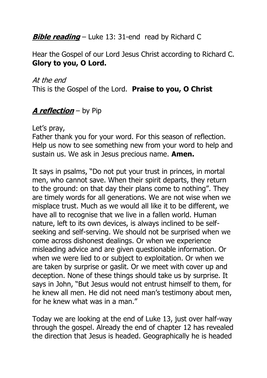**Bible reading** – Luke 13: 31-end read by Richard C

Hear the Gospel of our Lord Jesus Christ according to Richard C. **Glory to you, O Lord.**

At the end This is the Gospel of the Lord. **Praise to you, O Christ**

### **A reflection** – by Pip

Let's pray,

Father thank you for your word. For this season of reflection. Help us now to see something new from your word to help and sustain us. We ask in Jesus precious name. **Amen.**

It says in psalms, "Do not put your trust in princes, in mortal men, who cannot save. When their spirit departs, they return to the ground: on that day their plans come to nothing". They are timely words for all generations. We are not wise when we misplace trust. Much as we would all like it to be different, we have all to recognise that we live in a fallen world. Human nature, left to its own devices, is always inclined to be selfseeking and self-serving. We should not be surprised when we come across dishonest dealings. Or when we experience misleading advice and are given questionable information. Or when we were lied to or subject to exploitation. Or when we are taken by surprise or gaslit. Or we meet with cover up and deception. None of these things should take us by surprise. It says in John, "But Jesus would not entrust himself to them, for he knew all men. He did not need man's testimony about men, for he knew what was in a man."

Today we are looking at the end of Luke 13, just over half-way through the gospel. Already the end of chapter 12 has revealed the direction that Jesus is headed. Geographically he is headed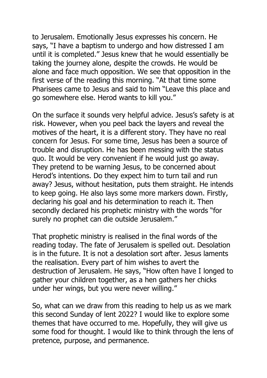to Jerusalem. Emotionally Jesus expresses his concern. He says, "I have a baptism to undergo and how distressed I am until it is completed." Jesus knew that he would essentially be taking the journey alone, despite the crowds. He would be alone and face much opposition. We see that opposition in the first verse of the reading this morning. "At that time some Pharisees came to Jesus and said to him "Leave this place and go somewhere else. Herod wants to kill you."

On the surface it sounds very helpful advice. Jesus's safety is at risk. However, when you peel back the layers and reveal the motives of the heart, it is a different story. They have no real concern for Jesus. For some time, Jesus has been a source of trouble and disruption. He has been messing with the status quo. It would be very convenient if he would just go away. They pretend to be warning Jesus, to be concerned about Herod's intentions. Do they expect him to turn tail and run away? Jesus, without hesitation, puts them straight. He intends to keep going. He also lays some more markers down. Firstly, declaring his goal and his determination to reach it. Then secondly declared his prophetic ministry with the words "for surely no prophet can die outside Jerusalem."

That prophetic ministry is realised in the final words of the reading today. The fate of Jerusalem is spelled out. Desolation is in the future. It is not a desolation sort after. Jesus laments the realisation. Every part of him wishes to avert the destruction of Jerusalem. He says, "How often have I longed to gather your children together, as a hen gathers her chicks under her wings, but you were never willing."

So, what can we draw from this reading to help us as we mark this second Sunday of lent 2022? I would like to explore some themes that have occurred to me. Hopefully, they will give us some food for thought. I would like to think through the lens of pretence, purpose, and permanence.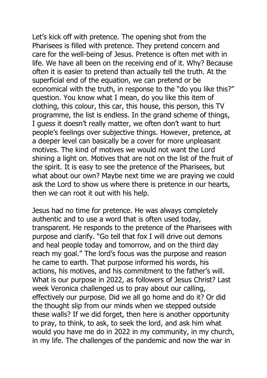Let's kick off with pretence. The opening shot from the Pharisees is filled with pretence. They pretend concern and care for the well-being of Jesus. Pretence is often met with in life. We have all been on the receiving end of it. Why? Because often it is easier to pretend than actually tell the truth. At the superficial end of the equation, we can pretend or be economical with the truth, in response to the "do you like this?" question. You know what I mean, do you like this item of clothing, this colour, this car, this house, this person, this TV programme, the list is endless. In the grand scheme of things, I guess it doesn't really matter, we often don't want to hurt people's feelings over subjective things. However, pretence, at a deeper level can basically be a cover for more unpleasant motives. The kind of motives we would not want the Lord shining a light on. Motives that are not on the list of the fruit of the spirit. It is easy to see the pretence of the Pharisees, but what about our own? Maybe next time we are praying we could ask the Lord to show us where there is pretence in our hearts, then we can root it out with his help.

Jesus had no time for pretence. He was always completely authentic and to use a word that is often used today, transparent. He responds to the pretence of the Pharisees with purpose and clarify. "Go tell that fox I will drive out demons and heal people today and tomorrow, and on the third day reach my goal." The lord's focus was the purpose and reason he came to earth. That purpose informed his words, his actions, his motives, and his commitment to the father's will. What is our purpose in 2022, as followers of Jesus Christ? Last week Veronica challenged us to pray about our calling, effectively our purpose. Did we all go home and do it? Or did the thought slip from our minds when we stepped outside these walls? If we did forget, then here is another opportunity to pray, to think, to ask, to seek the lord, and ask him what would you have me do in 2022 in my community, in my church, in my life. The challenges of the pandemic and now the war in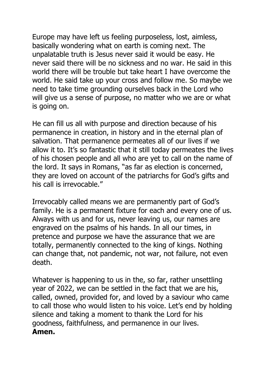Europe may have left us feeling purposeless, lost, aimless, basically wondering what on earth is coming next. The unpalatable truth is Jesus never said it would be easy. He never said there will be no sickness and no war. He said in this world there will be trouble but take heart I have overcome the world. He said take up your cross and follow me. So maybe we need to take time grounding ourselves back in the Lord who will give us a sense of purpose, no matter who we are or what is going on.

He can fill us all with purpose and direction because of his permanence in creation, in history and in the eternal plan of salvation. That permanence permeates all of our lives if we allow it to. It's so fantastic that it still today permeates the lives of his chosen people and all who are yet to call on the name of the lord. It says in Romans, "as far as election is concerned, they are loved on account of the patriarchs for God's gifts and his call is irrevocable."

Irrevocably called means we are permanently part of God's family. He is a permanent fixture for each and every one of us. Always with us and for us, never leaving us, our names are engraved on the psalms of his hands. In all our times, in pretence and purpose we have the assurance that we are totally, permanently connected to the king of kings. Nothing can change that, not pandemic, not war, not failure, not even death.

Whatever is happening to us in the, so far, rather unsettling year of 2022, we can be settled in the fact that we are his, called, owned, provided for, and loved by a saviour who came to call those who would listen to his voice. Let's end by holding silence and taking a moment to thank the Lord for his goodness, faithfulness, and permanence in our lives. **Amen.**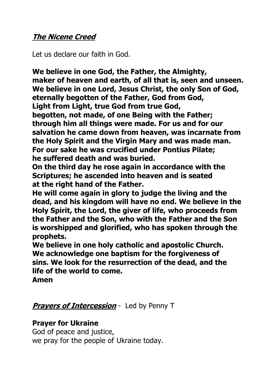### **The Nicene Creed**

Let us declare our faith in God.

**We believe in one God, the Father, the Almighty, maker of heaven and earth, of all that is, seen and unseen. We believe in one Lord, Jesus Christ, the only Son of God, eternally begotten of the Father, God from God, Light from Light, true God from true God, begotten, not made, of one Being with the Father; through him all things were made. For us and for our salvation he came down from heaven, was incarnate from the Holy Spirit and the Virgin Mary and was made man. For our sake he was crucified under Pontius Pilate; he suffered death and was buried.**

**On the third day he rose again in accordance with the Scriptures; he ascended into heaven and is seated at the right hand of the Father.**

**He will come again in glory to judge the living and the dead, and his kingdom will have no end. We believe in the Holy Spirit, the Lord, the giver of life, who proceeds from the Father and the Son, who with the Father and the Son is worshipped and glorified, who has spoken through the prophets.**

**We believe in one holy catholic and apostolic Church. We acknowledge one baptism for the forgiveness of sins. We look for the resurrection of the dead, and the life of the world to come.**

**Amen**

**Prayers of Intercession** - Led by Penny T

**Prayer for Ukraine**

God of peace and justice, we pray for the people of Ukraine today.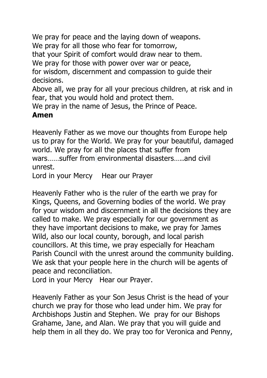We pray for peace and the laying down of weapons. We pray for all those who fear for tomorrow, that your Spirit of comfort would draw near to them. We pray for those with power over war or peace, for wisdom, discernment and compassion to guide their decisions.

Above all, we pray for all your precious children, at risk and in fear, that you would hold and protect them.

We pray in the name of Jesus, the Prince of Peace.

#### **Amen**

Heavenly Father as we move our thoughts from Europe help us to pray for the World. We pray for your beautiful, damaged world. We pray for all the places that suffer from wars……suffer from environmental disasters…..and civil unrest.

Lord in your Mercy Hear our Prayer

Heavenly Father who is the ruler of the earth we pray for Kings, Queens, and Governing bodies of the world. We pray for your wisdom and discernment in all the decisions they are called to make. We pray especially for our government as they have important decisions to make, we pray for James Wild, also our local county, borough, and local parish councillors. At this time, we pray especially for Heacham Parish Council with the unrest around the community building. We ask that your people here in the church will be agents of peace and reconciliation.

Lord in your Mercy Hear our Prayer.

Heavenly Father as your Son Jesus Christ is the head of your church we pray for those who lead under him. We pray for Archbishops Justin and Stephen. We pray for our Bishops Grahame, Jane, and Alan. We pray that you will guide and help them in all they do. We pray too for Veronica and Penny,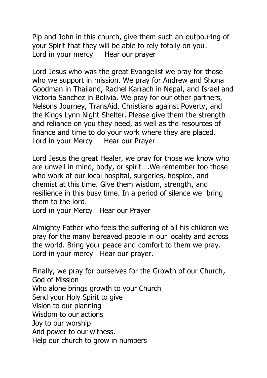Pip and John in this church, give them such an outpouring of your Spirit that they will be able to rely totally on you. Lord in your mercy Hear our prayer

Lord Jesus who was the great Evangelist we pray for those who we support in mission. We pray for Andrew and Shona Goodman in Thailand, Rachel Karrach in Nepal, and Israel and Victoria Sanchez in Bolivia. We pray for our other partners, Nelsons Journey, TransAid, Christians against Poverty, and the Kings Lynn Night Shelter. Please give them the strength and reliance on you they need, as well as the resources of finance and time to do your work where they are placed. Lord in your Mercy Hear our Prayer

Lord Jesus the great Healer, we pray for those we know who are unwell in mind, body, or spirit….We remember too those who work at our local hospital, surgeries, hospice, and chemist at this time. Give them wisdom, strength, and resilience in this busy time. In a period of silence we bring them to the lord.

Lord in your Mercy Hear our Prayer

Almighty Father who feels the suffering of all his children we pray for the many bereaved people in our locality and across the world. Bring your peace and comfort to them we pray. Lord in your mercy Hear our prayer.

Finally, we pray for ourselves for the Growth of our Church, God of Mission Who alone brings growth to your Church Send your Holy Spirit to give Vision to our planning Wisdom to our actions Joy to our worship And power to our witness. Help our church to grow in numbers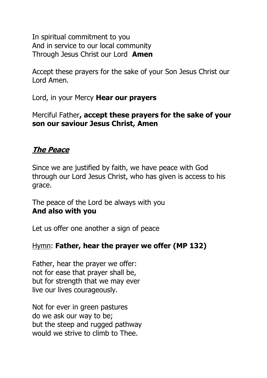In spiritual commitment to you And in service to our local community Through Jesus Christ our Lord **Amen**

Accept these prayers for the sake of your Son Jesus Christ our Lord Amen.

Lord, in your Mercy **Hear our prayers**

Merciful Father**, accept these prayers for the sake of your son our saviour Jesus Christ, Amen** 

### **The Peace**

Since we are justified by faith, we have peace with God through our Lord Jesus Christ, who has given is access to his grace.

The peace of the Lord be always with you **And also with you**

Let us offer one another a sign of peace

### Hymn: **Father, hear the prayer we offer (MP 132)**

Father, hear the prayer we offer: not for ease that prayer shall be, but for strength that we may ever live our lives courageously.

Not for ever in green pastures do we ask our way to be; but the steep and rugged pathway would we strive to climb to Thee.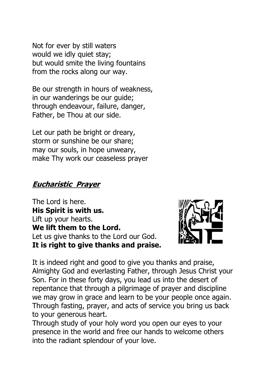Not for ever by still waters would we idly quiet stay; but would smite the living fountains from the rocks along our way.

Be our strength in hours of weakness, in our wanderings be our guide; through endeavour, failure, danger, Father, be Thou at our side.

Let our path be bright or dreary, storm or sunshine be our share; may our souls, in hope unweary, make Thy work our ceaseless prayer

### **Eucharistic Prayer**

The Lord is here. **His Spirit is with us.**  Lift up your hearts. **We lift them to the Lord.** Let us give thanks to the Lord our God. **It is right to give thanks and praise.**



It is indeed right and good to give you thanks and praise, Almighty God and everlasting Father, through Jesus Christ your Son. For in these forty days, you lead us into the desert of repentance that through a pilgrimage of prayer and discipline we may grow in grace and learn to be your people once again. Through fasting, prayer, and acts of service you bring us back to your generous heart.

Through study of your holy word you open our eyes to your presence in the world and free our hands to welcome others into the radiant splendour of your love.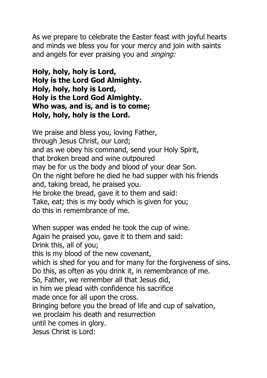As we prepare to celebrate the Easter feast with joyful hearts and minds we bless you for your mercy and join with saints and angels for ever praising you and *singing:* 

**Holy, holy, holy is Lord, Holy is the Lord God Almighty. Holy, holy, holy is Lord, Holy is the Lord God Almighty. Who was, and is, and is to come; Holy, holy, holy is the Lord.**

We praise and bless you, loving Father, through Jesus Christ, our Lord; and as we obey his command, send your Holy Spirit, that broken bread and wine outpoured may be for us the body and blood of your dear Son. On the night before he died he had supper with his friends and, taking bread, he praised you. He broke the bread, gave it to them and said: Take, eat; this is my body which is given for you; do this in remembrance of me.

When supper was ended he took the cup of wine. Again he praised you, gave it to them and said: Drink this, all of you; this is my blood of the new covenant, which is shed for you and for many for the forgiveness of sins. Do this, as often as you drink it, in remembrance of me. So, Father, we remember all that Jesus did, in him we plead with confidence his sacrifice made once for all upon the cross. Bringing before you the bread of life and cup of salvation, we proclaim his death and resurrection until he comes in glory. Jesus Christ is Lord: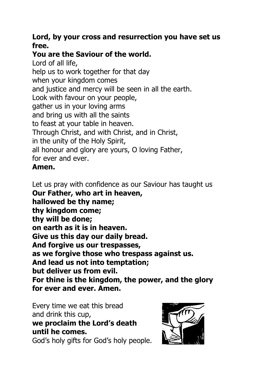### **Lord, by your cross and resurrection you have set us free.**

**You are the Saviour of the world.** Lord of all life, help us to work together for that day when your kingdom comes and justice and mercy will be seen in all the earth. Look with favour on your people, gather us in your loving arms and bring us with all the saints to feast at your table in heaven. Through Christ, and with Christ, and in Christ, in the unity of the Holy Spirit, all honour and glory are yours, O loving Father, for ever and ever. **Amen.**

Let us pray with confidence as our Saviour has taught us **Our Father, who art in heaven, hallowed be thy name; thy kingdom come; thy will be done; on earth as it is in heaven. Give us this day our daily bread. And forgive us our trespasses, as we forgive those who trespass against us. And lead us not into temptation; but deliver us from evil. For thine is the kingdom, the power, and the glory for ever and ever. Amen.**

Every time we eat this bread and drink this cup, **we proclaim the Lord's death until he comes.** God's holy gifts for God's holy people.

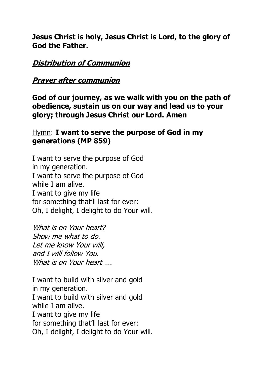**Jesus Christ is holy, Jesus Christ is Lord, to the glory of God the Father.**

#### **Distribution of Communion**

#### **Prayer after communion**

**God of our journey, as we walk with you on the path of obedience, sustain us on our way and lead us to your glory; through Jesus Christ our Lord. Amen** 

#### Hymn: **I want to serve the purpose of God in my generations (MP 859)**

I want to serve the purpose of God in my generation. I want to serve the purpose of God while I am alive. I want to give my life for something that'll last for ever: Oh, I delight, I delight to do Your will.

What is on Your heart? Show me what to do. Let me know Your will, and I will follow You. What is on Your heart ....

I want to build with silver and gold in my generation. I want to build with silver and gold while I am alive. I want to give my life for something that'll last for ever: Oh, I delight, I delight to do Your will.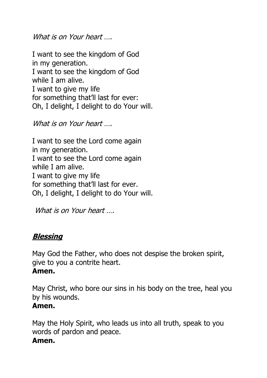What is on Your heart ....

I want to see the kingdom of God in my generation. I want to see the kingdom of God while I am alive. I want to give my life for something that'll last for ever: Oh, I delight, I delight to do Your will.

What is on Your heart ....

I want to see the Lord come again in my generation. I want to see the Lord come again while I am alive. I want to give my life for something that'll last for ever. Oh, I delight, I delight to do Your will.

What is on Your heart ....

### **Blessing**

May God the Father, who does not despise the broken spirit, give to you a contrite heart.

#### **Amen.**

May Christ, who bore our sins in his body on the tree, heal you by his wounds.

#### **Amen.**

May the Holy Spirit, who leads us into all truth, speak to you words of pardon and peace.

#### **Amen.**